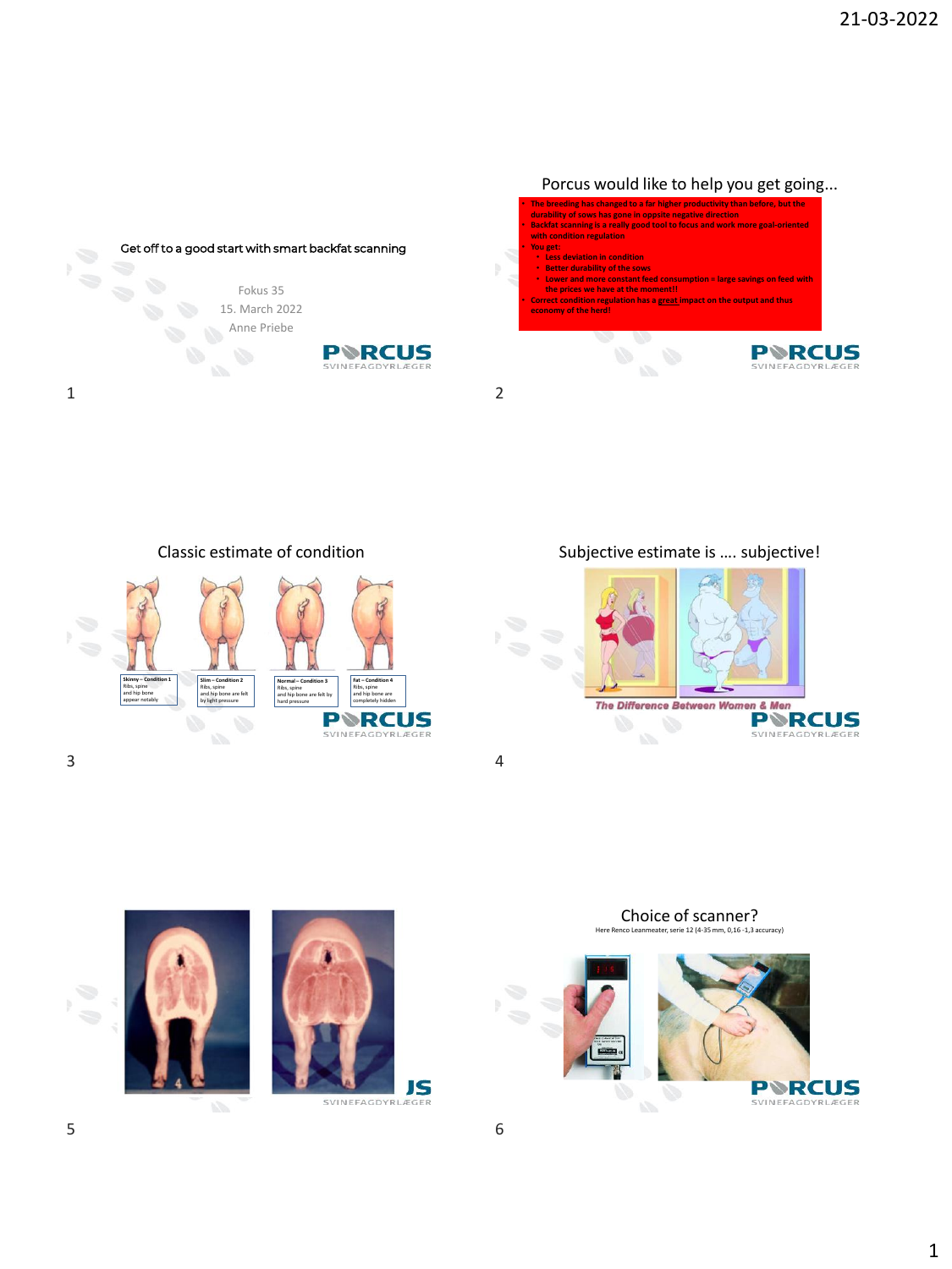

Classic estimate of condition



 $3 \hspace{2.5cm} 4$ 

Subjective estimate is …. subjective!







Choice of scanner?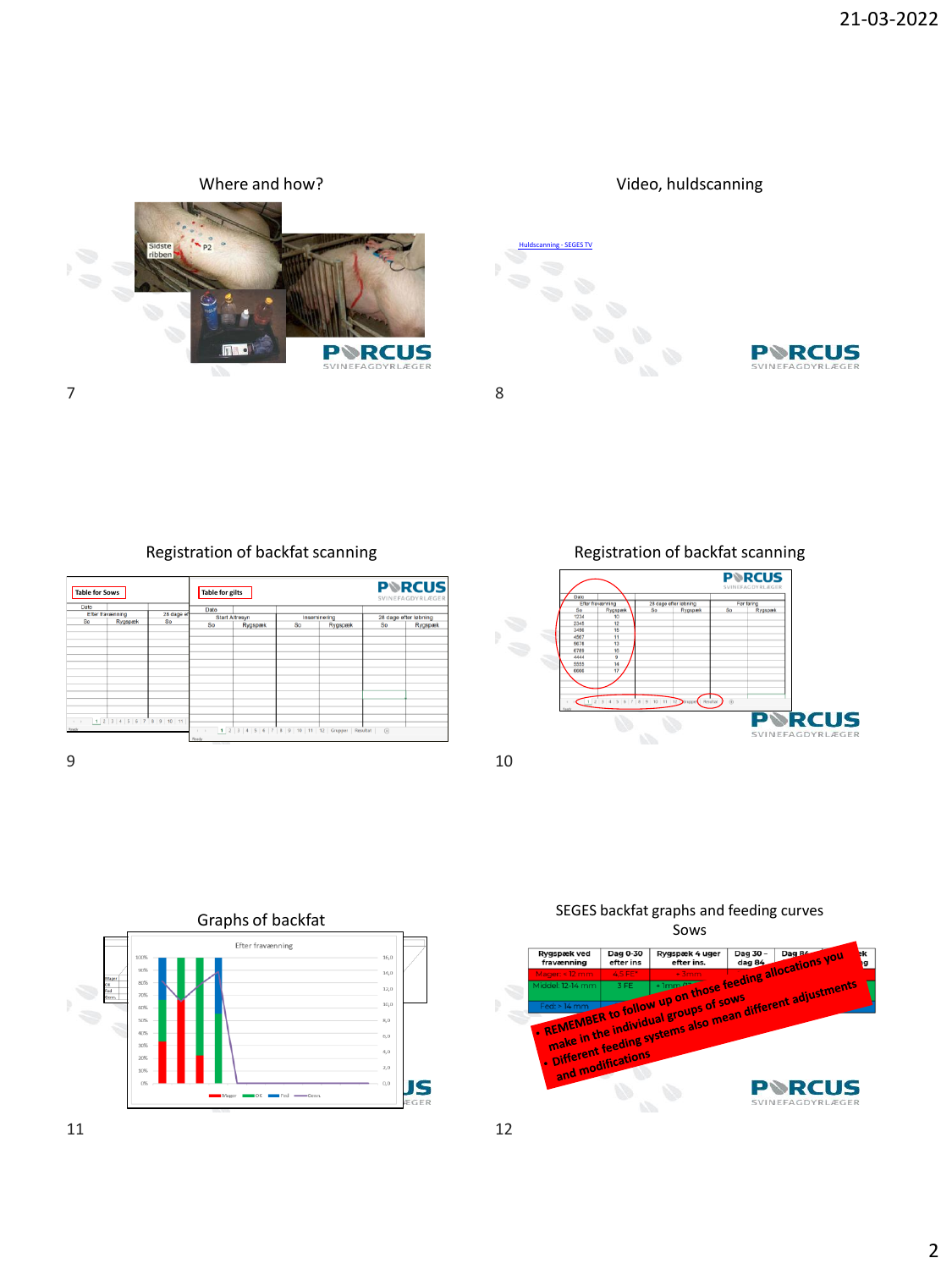

Registration of backfat scanning

| <b>Table for Sows</b>  |                                      |                  | <b>PRCUS</b><br>Table for gilts<br>SVINEFAGDYRLÆGER |                                                                  |              |         |                       |         |  |
|------------------------|--------------------------------------|------------------|-----------------------------------------------------|------------------------------------------------------------------|--------------|---------|-----------------------|---------|--|
| Dato                   |                                      |                  | Dato                                                |                                                                  |              |         |                       |         |  |
| Efter fravænning<br>So |                                      | 28 dage ef<br>So | <b>Start Altresyn</b>                               |                                                                  | Inseminering |         | 28 dage efter løbning |         |  |
|                        | Rygspæk                              |                  | <b>So</b>                                           | Rygspæk                                                          | So           | Rygspæk | <b>So</b>             | Rygspæk |  |
|                        |                                      |                  |                                                     |                                                                  |              |         |                       |         |  |
|                        |                                      |                  |                                                     |                                                                  |              |         |                       |         |  |
|                        |                                      |                  |                                                     |                                                                  |              |         |                       |         |  |
|                        |                                      |                  |                                                     |                                                                  |              |         |                       |         |  |
|                        |                                      |                  |                                                     |                                                                  |              |         |                       |         |  |
|                        |                                      |                  |                                                     |                                                                  |              |         |                       |         |  |
|                        |                                      |                  |                                                     |                                                                  |              |         |                       |         |  |
|                        |                                      |                  |                                                     |                                                                  |              |         |                       |         |  |
|                        |                                      |                  |                                                     |                                                                  |              |         |                       |         |  |
|                        |                                      |                  |                                                     |                                                                  |              |         |                       |         |  |
|                        |                                      |                  |                                                     |                                                                  |              |         |                       |         |  |
|                        |                                      |                  |                                                     |                                                                  |              |         |                       |         |  |
|                        | $\leftarrow$ 1 2 3 4 5 6 7 8 9 10 11 |                  |                                                     |                                                                  |              |         |                       |         |  |
| Ready                  |                                      |                  |                                                     |                                                                  |              |         |                       |         |  |
|                        |                                      |                  | Ready                                               | $\leftarrow$ 1 2 3 4 5 6 7 8 9 10 11 12 Grupper Resultat $\odot$ |              |         |                       |         |  |

 $9 \hspace{2.5cm} 10$ 

Registration of backfat scanning





Graphs of backfat SEGES backfat graphs and feeding curves

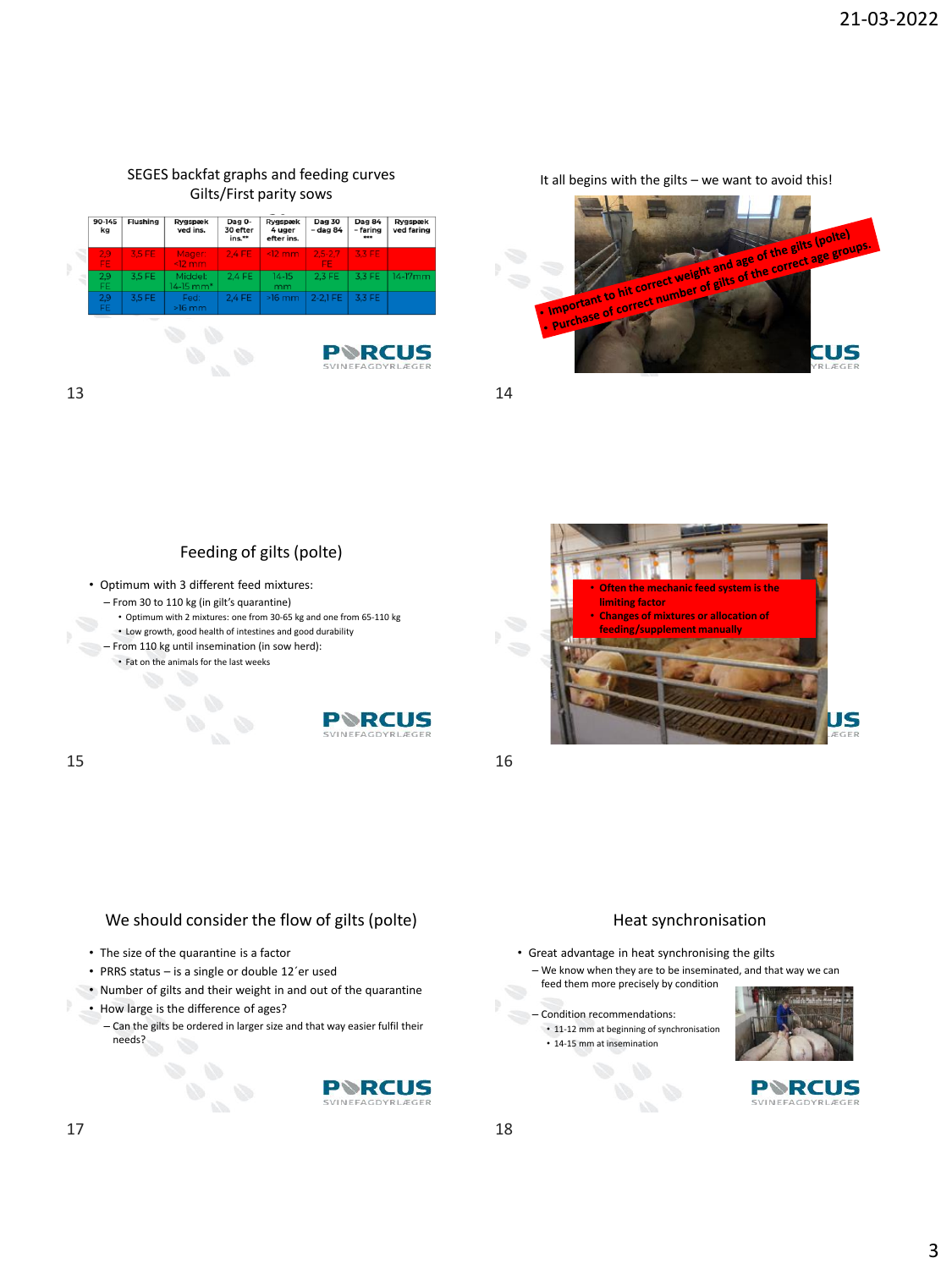### SEGES backfat graphs and feeding curves Gilts/First parity sows



It all begins with the gilts – we want to avoid this!





- 
- From 30 to 110 kg (in gilt's quarantine)
	- Optimum with 2 mixtures: one from 30-65 kg and one from 65-110 kg • Low growth, good health of intestines and good durability
- From 110 kg until insemination (in sow herd):
	- Fat on the animals for the last weeks





# We should consider the flow of gilts (polte)

- The size of the quarantine is a factor
- PRRS status is a single or double 12´er used
- Number of gilts and their weight in and out of the quarantine
- How large is the difference of ages?
	- Can the gilts be ordered in larger size and that way easier fulfil their needs?





#### Heat synchronisation

- Great advantage in heat synchronising the gilts – We know when they are to be inseminated, and that way we can
- feed them more precisely by condition
- Condition recommendations:
- 11-12 mm at beginning of synchronisation
	- 14-15 mm at insemination



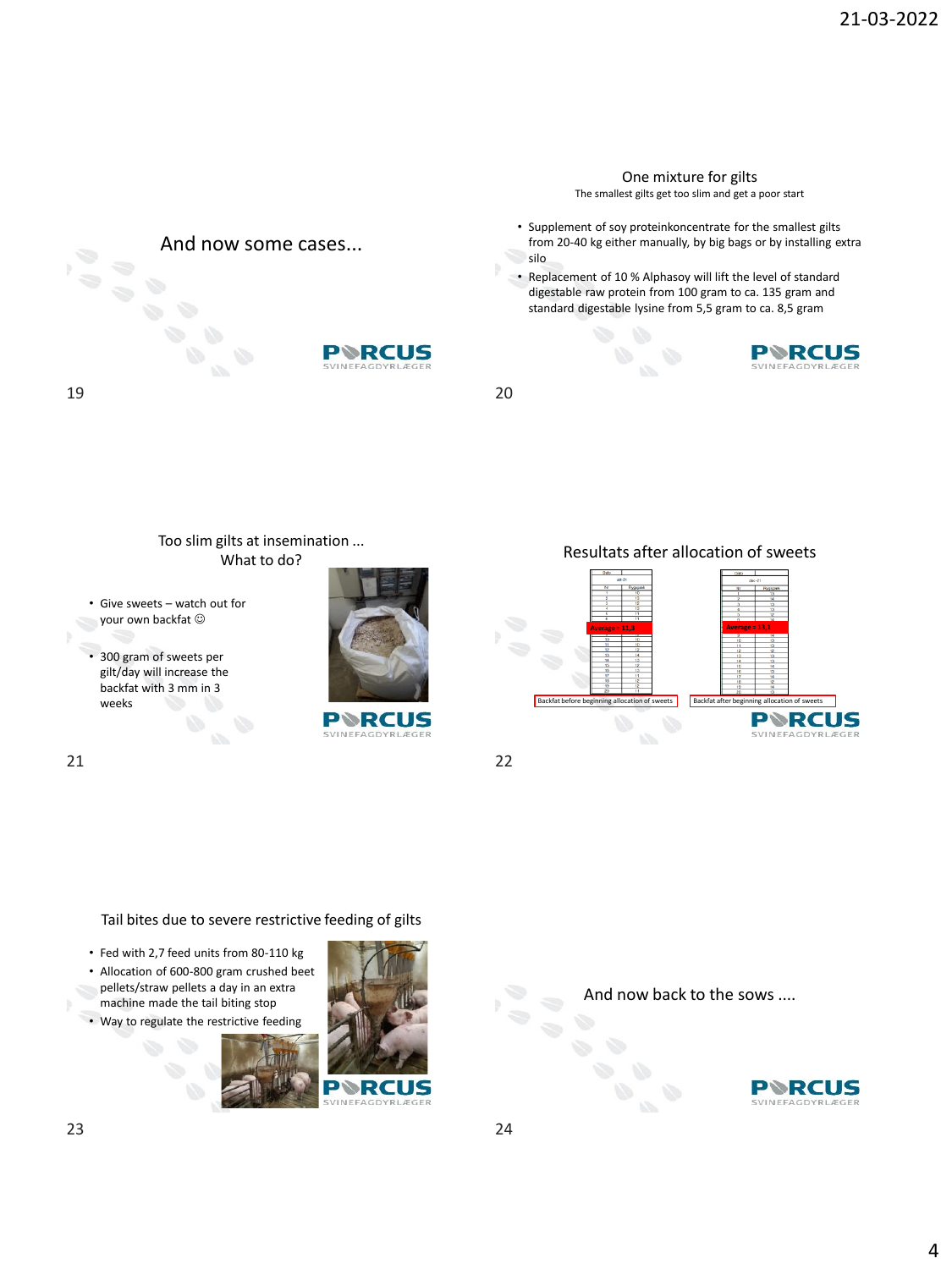#### One mixture for gilts

The smallest gilts get too slim and get a poor start

- Supplement of soy proteinkoncentrate for the smallest gilts from 20-40 kg either manually, by big bags or by installing extra silo
- Replacement of 10 % Alphasoy will lift the level of standard digestable raw protein from 100 gram to ca. 135 gram and standard digestable lysine from 5,5 gram to ca. 8,5 gram



19 20



Tail bites due to severe restrictive feeding of gilts

And now some cases...

PVRC

- Fed with 2,7 feed units from 80-110 kg
- Allocation of 600-800 gram crushed beet pellets/straw pellets a day in an extra machine made the tail biting stop
- Way to regulate the restrictive feeding



And now back to the sows ....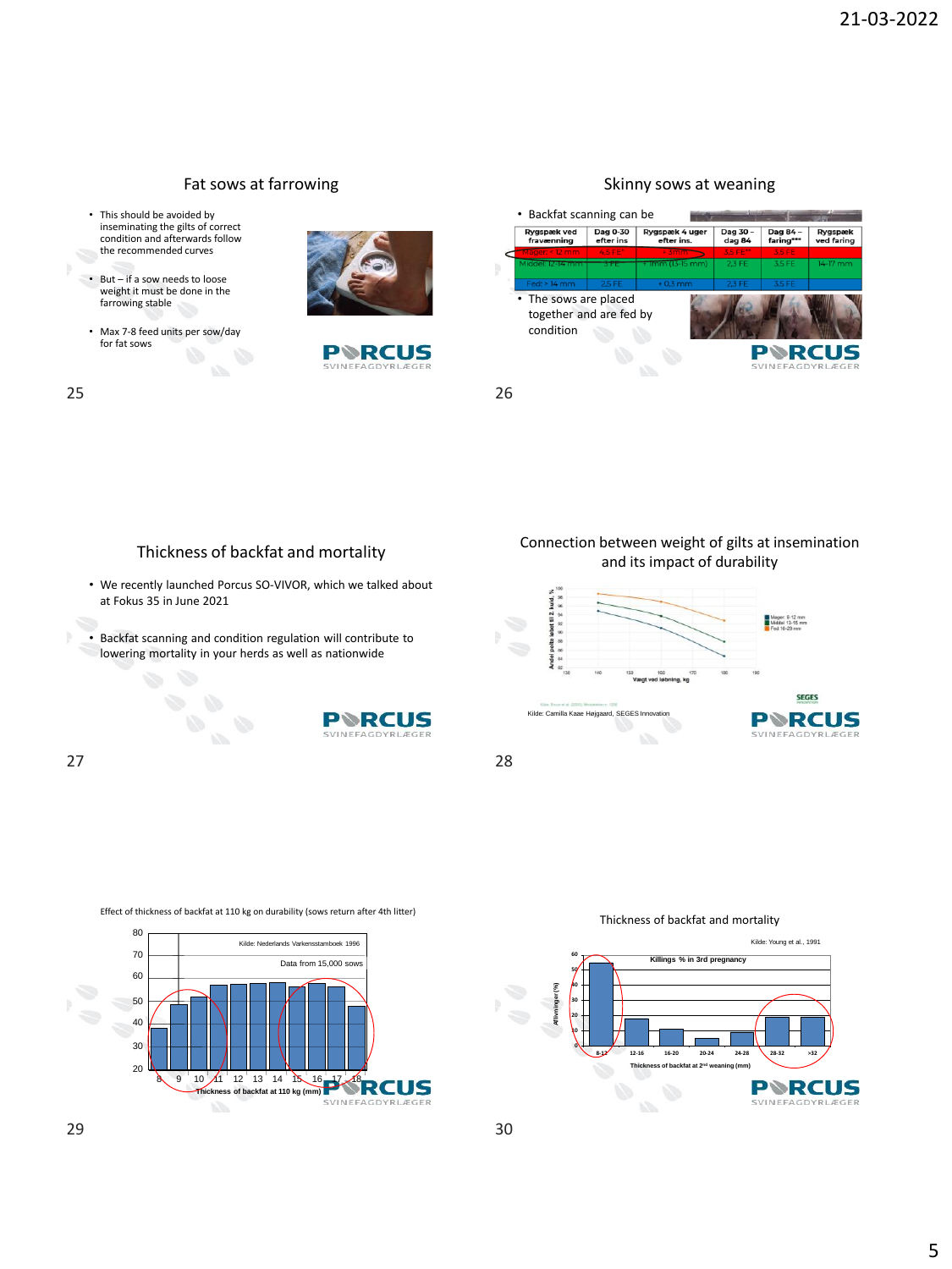

## Skinny sows at weaning



## Thickness of backfat and mortality

Fat sows at farrowing

- We recently launched Porcus SO-VIVOR, which we talked about at Fokus 35 in June 2021
- Backfat scanning and condition regulation will contribute to lowering mortality in your herds as well as nationwide



#### Connection between weight of gilts at insemination and its impact of durability







Thickness of backfat and mortality